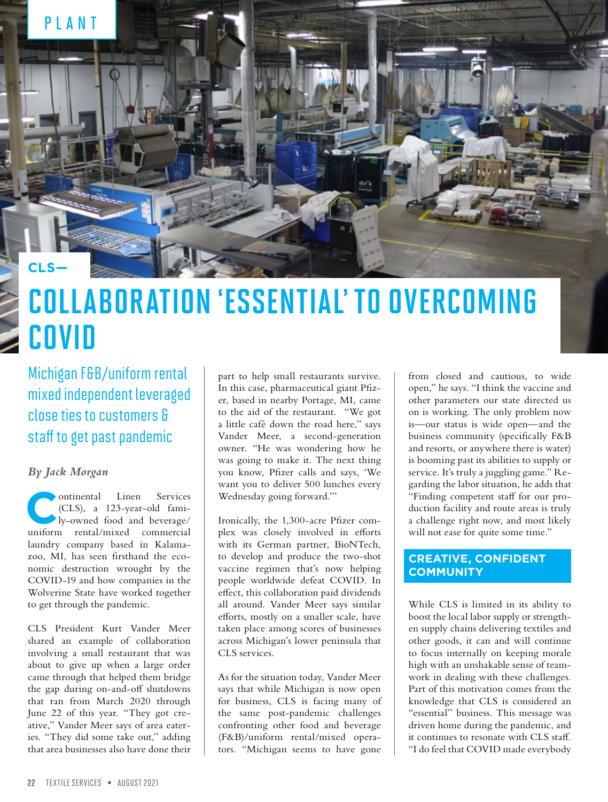

# COLLABORATION 'ESSENTIAL' TO OVERCOMING COVID

Michigan F&B/uniform rental mixed independent leveraged close ties to customers & staff to get past pandemic

#### *By Jack Morgan*

ontinental Linen Services<br>
(CLS), a 123-year-old fami-<br>
ly-owned food and beverage/<br>
uniform rental/mixed commercial (CLS), a 123-year-old famiuniform rental/mixed commercial laundry company based in Kalamazoo, MI, has seen firsthand the economic destruction wrought by the COVID-19 and how companies in the Wolverine State have worked together to get through the pandemic.

CLS President Kurt Vander Meer shared an example of collaboration involving a small restaurant that was about to give up when a large order came through that helped them bridge the gap during on-and-off shutdowns that ran from March 2020 through June 22 of this year. "They got creative," Vander Meer says of area eateries. "They did some take out," adding that area businesses also have done their

part to help small restaurants survive. In this case, pharmaceutical giant Pfizer, based in nearby Portage, MI, came to the aid of the restaurant. "We got a little café down the road here," says Vander Meer, a second-generation owner. "He was wondering how he was going to make it. The next thing you know, Pfizer calls and says, 'We want you to deliver 500 lunches every Wednesday going forward.'"

Ironically, the 1,300-acre Pfizer complex was closely involved in efforts with its German partner, BioNTech, to develop and produce the two-shot vaccine regimen that's now helping people worldwide defeat COVID. In effect, this collaboration paid dividends all around. Vander Meer says similar efforts, mostly on a smaller scale, have taken place among scores of businesses across Michigan's lower peninsula that CLS services.

As for the situation today, Vander Meer says that while Michigan is now open for business, CLS is facing many of the same post-pandemic challenges confronting other food and beverage (F&B)/uniform rental/mixed operators. "Michigan seems to have gone

from closed and cautious, to wide open," he says. "I think the vaccine and other parameters our state directed us on is working. The only problem now is—our status is wide open—and the business community (specifically F&B and resorts, or anywhere there is water) is booming past its abilities to supply or service. It's truly a juggling game." Regarding the labor situation, he adds that "Finding competent staff for our production facility and route areas is truly a challenge right now, and most likely will not ease for quite some time."

### **CREATIVE, CONFIDENT COMMUNITY**

While CLS is limited in its ability to boost the local labor supply or strengthen supply chains delivering textiles and other goods, it can and will continue to focus internally on keeping morale high with an unshakable sense of teamwork in dealing with these challenges. Part of this motivation comes from the knowledge that CLS is considered an "essential" business. This message was driven home during the pandemic, and it continues to resonate with CLS staff. "I do feel that COVID made everybody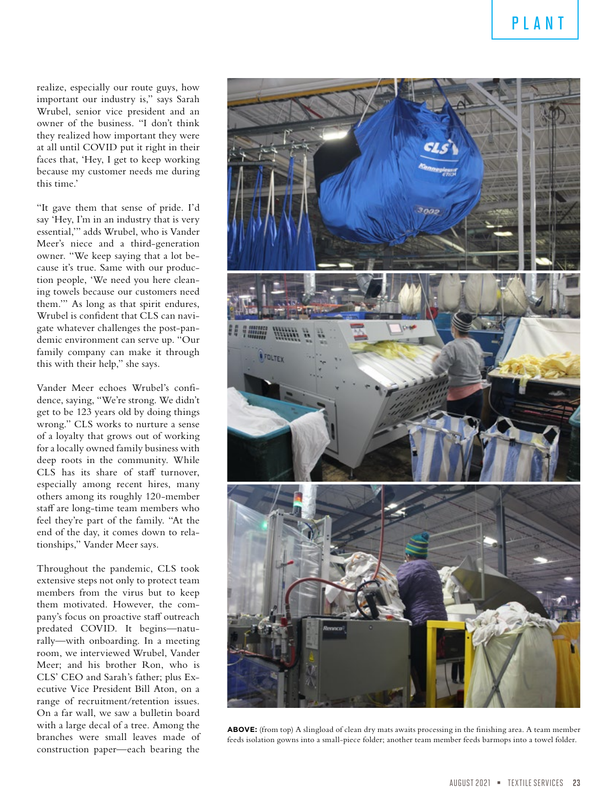realize, especially our route guys, how important our industry is," says Sarah Wrubel, senior vice president and an owner of the business. "I don't think they realized how important they were at all until COVID put it right in their faces that, 'Hey, I get to keep working because my customer needs me during this time.'

"It gave them that sense of pride. I'd say 'Hey, I'm in an industry that is very essential,'" adds Wrubel, who is Vander Meer's niece and a third-generation owner. "We keep saying that a lot because it's true. Same with our production people, 'We need you here cleaning towels because our customers need them.'" As long as that spirit endures, Wrubel is confident that CLS can navigate whatever challenges the post-pandemic environment can serve up. "Our family company can make it through this with their help," she says.

Vander Meer echoes Wrubel's confidence, saying, "We're strong. We didn't get to be 123 years old by doing things wrong." CLS works to nurture a sense of a loyalty that grows out of working for a locally owned family business with deep roots in the community. While CLS has its share of staff turnover, especially among recent hires, many others among its roughly 120-member staff are long-time team members who feel they're part of the family. "At the end of the day, it comes down to relationships," Vander Meer says.

Throughout the pandemic, CLS took extensive steps not only to protect team members from the virus but to keep them motivated. However, the company's focus on proactive staff outreach predated COVID. It begins—naturally—with onboarding. In a meeting room, we interviewed Wrubel, Vander Meer; and his brother Ron, who is CLS' CEO and Sarah's father; plus Executive Vice President Bill Aton, on a range of recruitment/retention issues. On a far wall, we saw a bulletin board with a large decal of a tree. Among the branches were small leaves made of construction paper—each bearing the



**ABOVE:** (from top) A slingload of clean dry mats awaits processing in the finishing area. A team member feeds isolation gowns into a small-piece folder; another team member feeds barmops into a towel folder.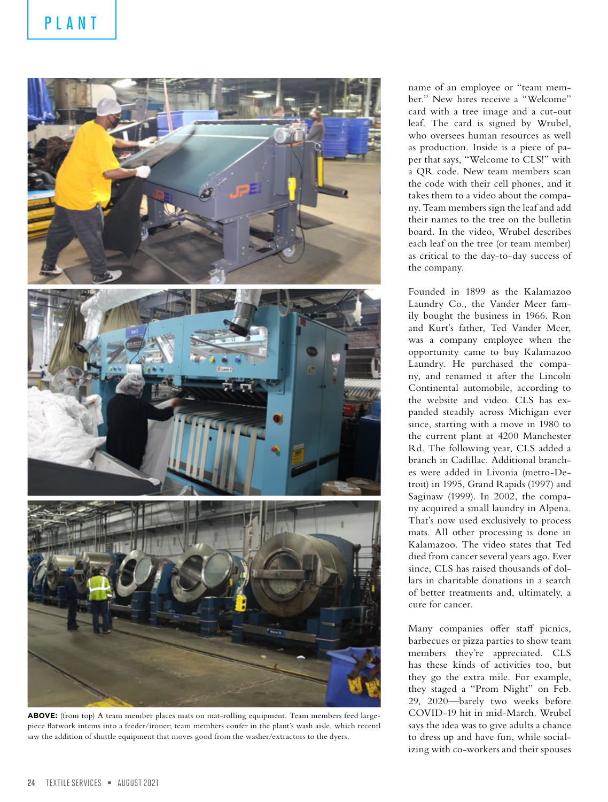

**ABOVE:** (from top) A team member places mats on mat-rolling equipment. Team members feed largepiece flatwork intems into a feeder/ironer; team members confer in the plant's wash aisle, which recentl saw the addition of shuttle equipment that moves good from the washer/extractors to the dyers.

name of an employee or "team member." New hires receive a "Welcome" card with a tree image and a cut-out leaf. The card is signed by Wrubel, who oversees human resources as well as production. Inside is a piece of paper that says, "Welcome to CLS!" with a QR code. New team members scan the code with their cell phones, and it takes them to a video about the company. Team members sign the leaf and add their names to the tree on the bulletin board. In the video, Wrubel describes each leaf on the tree (or team member) as critical to the day-to-day success of the company.

Founded in 1899 as the Kalamazoo Laundry Co., the Vander Meer family bought the business in 1966. Ron and Kurt's father, Ted Vander Meer, was a company employee when the opportunity came to buy Kalamazoo Laundry. He purchased the company, and renamed it after the Lincoln Continental automobile, according to the website and video. CLS has expanded steadily across Michigan ever since, starting with a move in 1980 to the current plant at 4200 Manchester Rd. The following year, CLS added a branch in Cadillac. Additional branches were added in Livonia (metro-Detroit) in 1995, Grand Rapids (1997) and Saginaw (1999). In 2002, the company acquired a small laundry in Alpena. That's now used exclusively to process mats. All other processing is done in Kalamazoo. The video states that Ted died from cancer several years ago. Ever since, CLS has raised thousands of dollars in charitable donations in a search of better treatments and, ultimately, a cure for cancer.

Many companies offer staff picnics, barbecues or pizza parties to show team members they're appreciated. CLS has these kinds of activities too, but they go the extra mile. For example, they staged a "Prom Night" on Feb. 29, 2020—barely two weeks before COVID-19 hit in mid-March. Wrubel says the idea was to give adults a chance to dress up and have fun, while socializing with co-workers and their spouses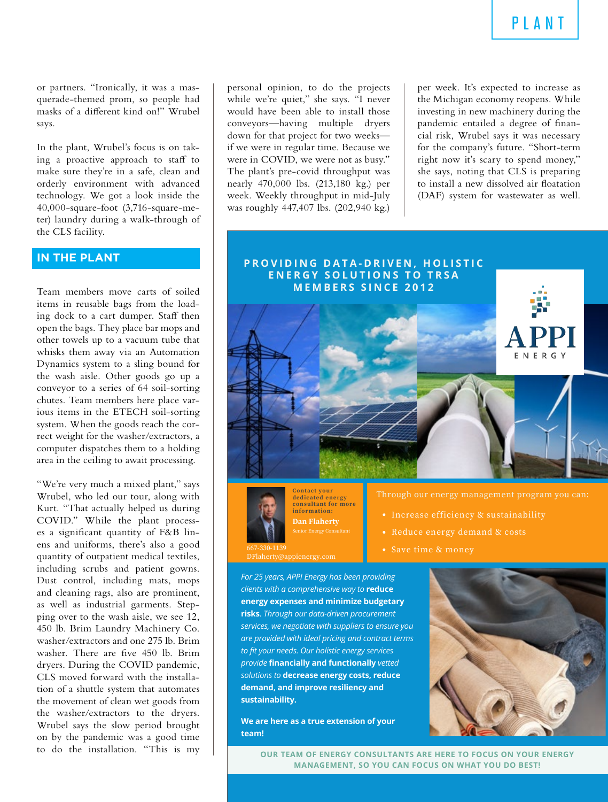or partners. "Ironically, it was a masquerade-themed prom, so people had masks of a different kind on!" Wrubel says.

In the plant, Wrubel's focus is on taking a proactive approach to staff to make sure they're in a safe, clean and orderly environment with advanced technology. We got a look inside the 40,000-square-foot (3,716-square-meter) laundry during a walk-through of the CLS facility.

### **IN THE PLANT**

Team members move carts of soiled items in reusable bags from the loading dock to a cart dumper. Staff then open the bags. They place bar mops and other towels up to a vacuum tube that whisks them away via an Automation Dynamics system to a sling bound for the wash aisle. Other goods go up a conveyor to a series of 64 soil-sorting chutes. Team members here place various items in the ETECH soil-sorting system. When the goods reach the correct weight for the washer/extractors, a computer dispatches them to a holding area in the ceiling to await processing.

"We're very much a mixed plant," says Wrubel, who led our tour, along with Kurt. "That actually helped us during COVID." While the plant processes a significant quantity of F&B linens and uniforms, there's also a good quantity of outpatient medical textiles, including scrubs and patient gowns. Dust control, including mats, mops and cleaning rags, also are prominent, as well as industrial garments. Stepping over to the wash aisle, we see 12, 450 lb. Brim Laundry Machinery Co. washer/extractors and one 275 lb. Brim washer. There are five 450 lb. Brim dryers. During the COVID pandemic, CLS moved forward with the installation of a shuttle system that automates the movement of clean wet goods from the washer/extractors to the dryers. Wrubel says the slow period brought on by the pandemic was a good time to do the installation. "This is my

personal opinion, to do the projects while we're quiet," she says. "I never would have been able to install those conveyors—having multiple dryers down for that project for two weeks if we were in regular time. Because we were in COVID, we were not as busy." The plant's pre-covid throughput was nearly 470,000 lbs. (213,180 kg.) per week. Weekly throughput in mid-July was roughly 447,407 lbs. (202,940 kg.)

per week. It's expected to increase as the Michigan economy reopens. While investing in new machinery during the pandemic entailed a degree of financial risk, Wrubel says it was necessary for the company's future. "Short-term right now it's scary to spend money," she says, noting that CLS is preparing to install a new dissolved air floatation (DAF) system for wastewater as well.



**Dan Flaherty Contact your dedicated energy consultant for more information:**

667-330-1139 DFlaherty@appienergy.com Through our energy management program you can:

- Increase efficiency & sustainability
- Reduce energy demand & costs
- Save time & money

*For 25 years, APPI Energy has been providing clients with a comprehensive way to* **reduce energy expenses and minimize budgetary risks**. *Through our data-driven procurement services, we negotiate with suppliers to ensure you are provided with ideal pricing and contract terms to fit your needs. Our holistic energy services provide* **financially and functionally** *vetted solutions to* **decrease energy costs, reduce demand, and improve resiliency and sustainability.**

**We are here as a true extension of your team!**



**OUR TEAM OF ENERGY CONSULTANTS ARE HERE TO FOCUS ON YOUR ENERGY MANAGEMENT, SO YOU CAN FOCUS ON WHAT YOU DO BEST!**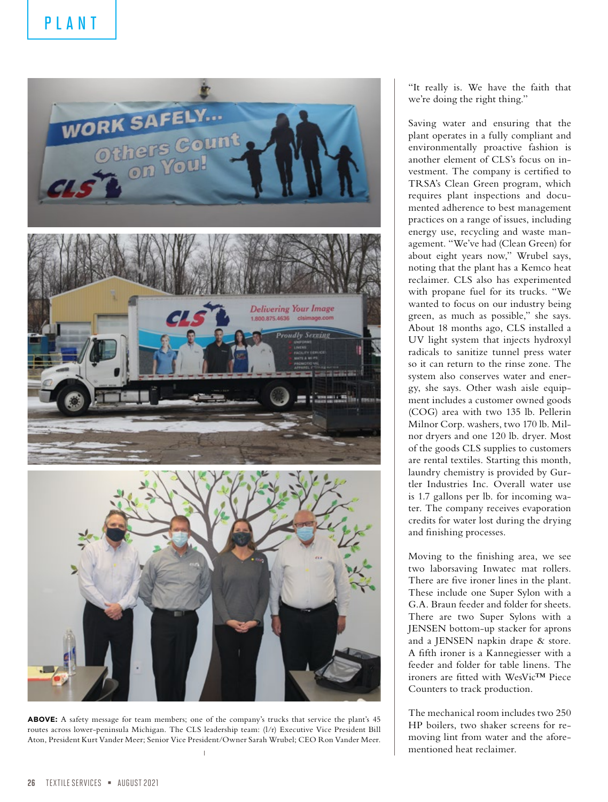

**ABOVE:** A safety message for team members; one of the company's trucks that service the plant's 45 routes across lower-peninsula Michigan. The CLS leadership team: (l/r) Executive Vice President Bill Aton, President Kurt Vander Meer; Senior Vice President/Owner Sarah Wrubel; CEO Ron Vander Meer.

"It really is. We have the faith that we're doing the right thing."

Saving water and ensuring that the plant operates in a fully compliant and environmentally proactive fashion is another element of CLS's focus on investment. The company is certified to TRSA's Clean Green program, which requires plant inspections and documented adherence to best management practices on a range of issues, including energy use, recycling and waste management. "We've had (Clean Green) for about eight years now," Wrubel says, noting that the plant has a Kemco heat reclaimer. CLS also has experimented with propane fuel for its trucks. "We wanted to focus on our industry being green, as much as possible," she says. About 18 months ago, CLS installed a UV light system that injects hydroxyl radicals to sanitize tunnel press water so it can return to the rinse zone. The system also conserves water and energy, she says. Other wash aisle equipment includes a customer owned goods (COG) area with two 135 lb. Pellerin Milnor Corp. washers, two 170 lb. Milnor dryers and one 120 lb. dryer. Most of the goods CLS supplies to customers are rental textiles. Starting this month, laundry chemistry is provided by Gurtler Industries Inc. Overall water use is 1.7 gallons per lb. for incoming water. The company receives evaporation credits for water lost during the drying and finishing processes.

Moving to the finishing area, we see two laborsaving Inwatec mat rollers. There are five ironer lines in the plant. These include one Super Sylon with a G.A. Braun feeder and folder for sheets. There are two Super Sylons with a JENSEN bottom-up stacker for aprons and a JENSEN napkin drape & store. A fifth ironer is a Kannegiesser with a feeder and folder for table linens. The ironers are fitted with WesVic™ Piece Counters to track production.

The mechanical room includes two 250 HP boilers, two shaker screens for removing lint from water and the aforementioned heat reclaimer.